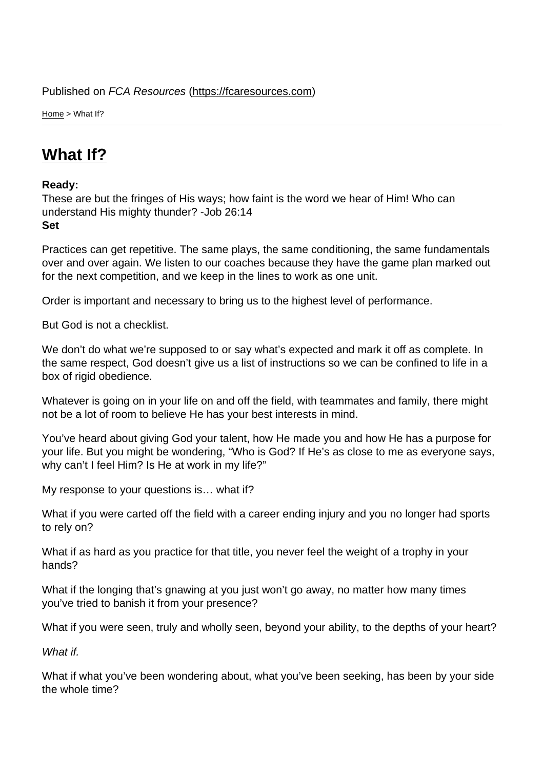Home > What If?

# [Wh](https://fcaresources.com/)at If?

Ready:

[These are but](https://fcaresources.com/devotional/what-if) the fringes of His ways; how faint is the word we hear of Him! Who can understand His mighty thunder? -Job 26:14 Set

Practices can get repetitive. The same plays, the same conditioning, the same fundamentals over and over again. We listen to our coaches because they have the game plan marked out for the next competition, and we keep in the lines to work as one unit.

Order is important and necessary to bring us to the highest level of performance.

But God is not a checklist.

We don't do what we're supposed to or say what's expected and mark it off as complete. In the same respect, God doesn't give us a list of instructions so we can be confined to life in a box of rigid obedience.

Whatever is going on in your life on and off the field, with teammates and family, there might not be a lot of room to believe He has your best interests in mind.

You've heard about giving God your talent, how He made you and how He has a purpose for your life. But you might be wondering, "Who is God? If He's as close to me as everyone says, why can't I feel Him? Is He at work in my life?"

My response to your questions is… what if?

What if you were carted off the field with a career ending injury and you no longer had sports to rely on?

What if as hard as you practice for that title, you never feel the weight of a trophy in your hands?

What if the longing that's gnawing at you just won't go away, no matter how many times you've tried to banish it from your presence?

What if you were seen, truly and wholly seen, beyond your ability, to the depths of your heart?

What if.

What if what you've been wondering about, what you've been seeking, has been by your side the whole time?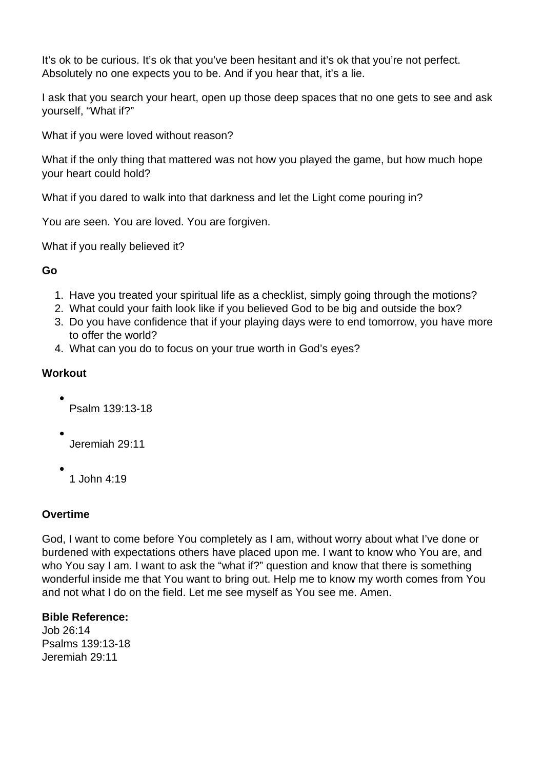It's ok to be curious. It's ok that you've been hesitant and it's ok that you're not perfect. Absolutely no one expects you to be. And if you hear that, it's a lie.

I ask that you search your heart, open up those deep spaces that no one gets to see and ask yourself, "What if?"

What if you were loved without reason?

What if the only thing that mattered was not how you played the game, but how much hope your heart could hold?

What if you dared to walk into that darkness and let the Light come pouring in?

You are seen. You are loved. You are forgiven.

What if you really believed it?

#### **Go**

- 1. Have you treated your spiritual life as a checklist, simply going through the motions?
- 2. What could your faith look like if you believed God to be big and outside the box?
- 3. Do you have confidence that if your playing days were to end tomorrow, you have more to offer the world?
- 4. What can you do to focus on your true worth in God's eyes?

## **Workout**

Psalm 139:13-18

- Jeremiah 29:11
- - 1 John 4:19

## **Overtime**

God, I want to come before You completely as I am, without worry about what I've done or burdened with expectations others have placed upon me. I want to know who You are, and who You say I am. I want to ask the "what if?" question and know that there is something wonderful inside me that You want to bring out. Help me to know my worth comes from You and not what I do on the field. Let me see myself as You see me. Amen.

## **Bible Reference:**

Job 26:14 Psalms 139:13-18 Jeremiah 29:11